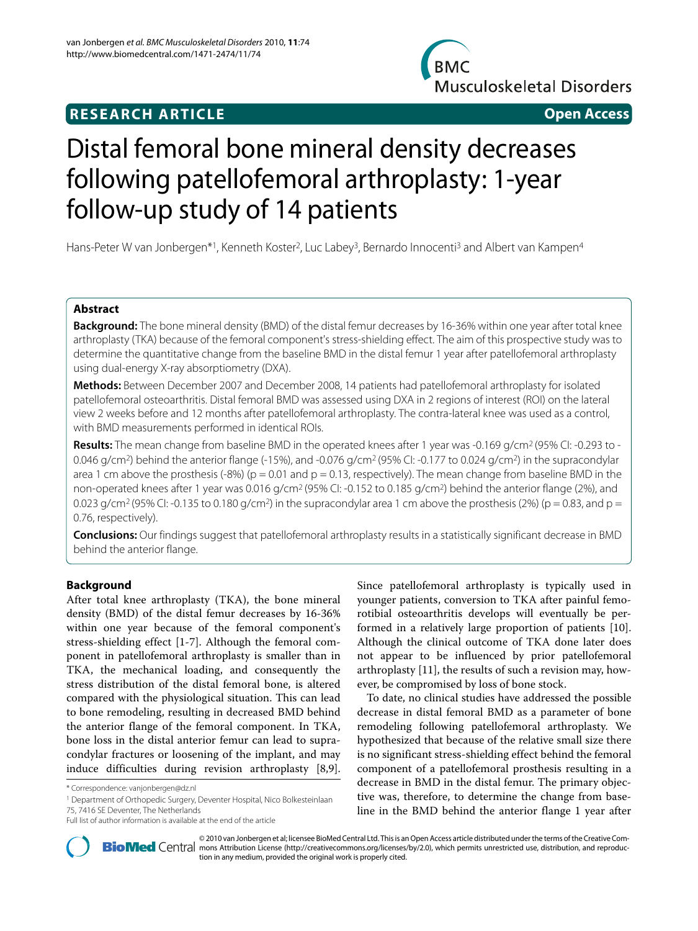## **RESEARCH ARTICLE Open Access**



# Distal femoral bone mineral density decreases following patellofemoral arthroplasty: 1-year follow-up study of 14 patients

Hans-Peter W van Jonbergen\*1, Kenneth Koster<sup>2</sup>, Luc Labey<sup>3</sup>, Bernardo Innocenti<sup>3</sup> and Albert van Kampen<sup>4</sup>

## **Abstract**

**Background:** The bone mineral density (BMD) of the distal femur decreases by 16-36% within one year after total knee arthroplasty (TKA) because of the femoral component's stress-shielding effect. The aim of this prospective study was to determine the quantitative change from the baseline BMD in the distal femur 1 year after patellofemoral arthroplasty using dual-energy X-ray absorptiometry (DXA).

**Methods:** Between December 2007 and December 2008, 14 patients had patellofemoral arthroplasty for isolated patellofemoral osteoarthritis. Distal femoral BMD was assessed using DXA in 2 regions of interest (ROI) on the lateral view 2 weeks before and 12 months after patellofemoral arthroplasty. The contra-lateral knee was used as a control, with BMD measurements performed in identical ROIs.

**Results:** The mean change from baseline BMD in the operated knees after 1 year was -0.169 g/cm<sup>2</sup> (95% CI: -0.293 to -0.046 g/cm<sup>2</sup>) behind the anterior flange (-15%), and -0.076 g/cm<sup>2</sup> (95% CI: -0.177 to 0.024 g/cm<sup>2</sup>) in the supracondylar area 1 cm above the prosthesis (-8%) ( $p = 0.01$  and  $p = 0.13$ , respectively). The mean change from baseline BMD in the non-operated knees after 1 year was 0.016 g/cm<sup>2</sup> (95% CI: -0.152 to 0.185 g/cm<sup>2</sup>) behind the anterior flange (2%), and 0.023 g/cm<sup>2</sup> (95% CI: -0.135 to 0.180 g/cm<sup>2</sup>) in the supracondylar area 1 cm above the prosthesis (2%) (p = 0.83, and p = 0.76, respectively).

**Conclusions:** Our findings suggest that patellofemoral arthroplasty results in a statistically significant decrease in BMD behind the anterior flange.

## **Background**

After total knee arthroplasty (TKA), the bone mineral density (BMD) of the distal femur decreases by 16-36% within one year because of the femoral component's stress-shielding effect [\[1-](#page-4-0)[7](#page-4-1)]. Although the femoral component in patellofemoral arthroplasty is smaller than in TKA, the mechanical loading, and consequently the stress distribution of the distal femoral bone, is altered compared with the physiological situation. This can lead to bone remodeling, resulting in decreased BMD behind the anterior flange of the femoral component. In TKA, bone loss in the distal anterior femur can lead to supracondylar fractures or loosening of the implant, and may induce difficulties during revision arthroplasty [\[8](#page-4-2)[,9](#page-4-3)].

1 Department of Orthopedic Surgery, Deventer Hospital, Nico Bolkesteinlaan 75, 7416 SE Deventer, The Netherlands

Since patellofemoral arthroplasty is typically used in younger patients, conversion to TKA after painful femorotibial osteoarthritis develops will eventually be performed in a relatively large proportion of patients [\[10](#page-4-4)]. Although the clinical outcome of TKA done later does not appear to be influenced by prior patellofemoral arthroplasty [\[11\]](#page-4-5), the results of such a revision may, however, be compromised by loss of bone stock.

To date, no clinical studies have addressed the possible decrease in distal femoral BMD as a parameter of bone remodeling following patellofemoral arthroplasty. We hypothesized that because of the relative small size there is no significant stress-shielding effect behind the femoral component of a patellofemoral prosthesis resulting in a decrease in BMD in the distal femur. The primary objective was, therefore, to determine the change from baseline in the BMD behind the anterior flange 1 year after



© 2010 van Jonbergen et al; licensee [BioMed](http://www.biomedcentral.com/) Central Ltd. This is an Open Access article distributed under the terms of the Creative Com-<br>-Bio Med Central mons Attribution License (http://creativecommons.org/licenses/by/2. tion in any medium, provided the original work is properly cited.

<sup>\*</sup> Correspondence: vanjonbergen@dz.nl

Full list of author information is available at the end of the article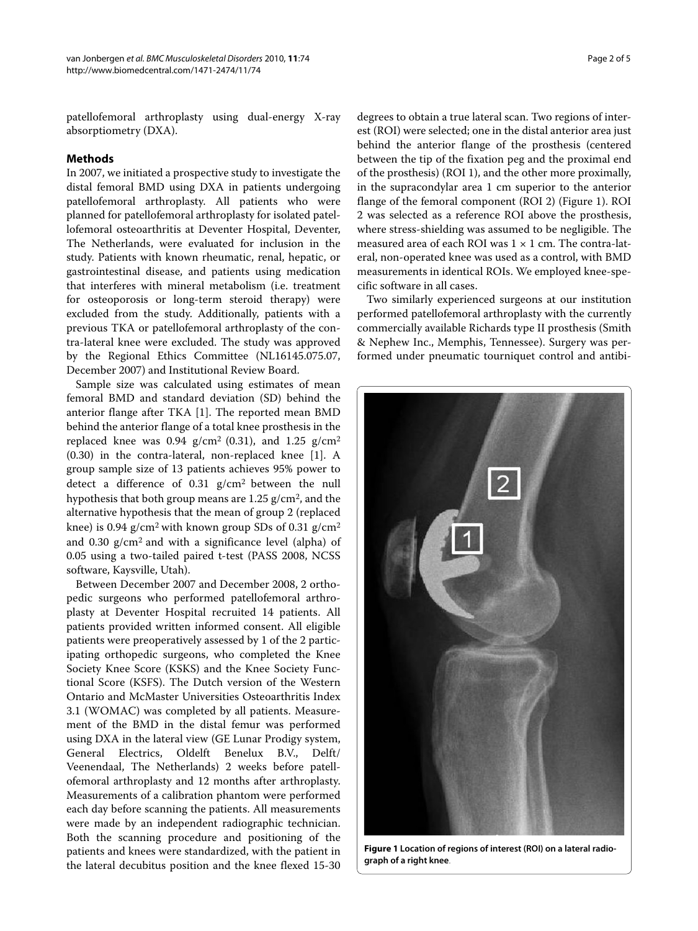patellofemoral arthroplasty using dual-energy X-ray absorptiometry (DXA).

## **Methods**

In 2007, we initiated a prospective study to investigate the distal femoral BMD using DXA in patients undergoing patellofemoral arthroplasty. All patients who were planned for patellofemoral arthroplasty for isolated patellofemoral osteoarthritis at Deventer Hospital, Deventer, The Netherlands, were evaluated for inclusion in the study. Patients with known rheumatic, renal, hepatic, or gastrointestinal disease, and patients using medication that interferes with mineral metabolism (i.e. treatment for osteoporosis or long-term steroid therapy) were excluded from the study. Additionally, patients with a previous TKA or patellofemoral arthroplasty of the contra-lateral knee were excluded. The study was approved by the Regional Ethics Committee (NL16145.075.07, December 2007) and Institutional Review Board.

Sample size was calculated using estimates of mean femoral BMD and standard deviation (SD) behind the anterior flange after TKA [[1\]](#page-4-0). The reported mean BMD behind the anterior flange of a total knee prosthesis in the replaced knee was 0.94  $g/cm^2$  (0.31), and 1.25  $g/cm^2$ (0.30) in the contra-lateral, non-replaced knee [[1\]](#page-4-0). A group sample size of 13 patients achieves 95% power to detect a difference of 0.31 g/cm2 between the null hypothesis that both group means are 1.25 g/cm2, and the alternative hypothesis that the mean of group 2 (replaced knee) is 0.94  $g/cm^2$  with known group SDs of 0.31  $g/cm^2$ and 0.30 g/cm2 and with a significance level (alpha) of 0.05 using a two-tailed paired t-test (PASS 2008, NCSS software, Kaysville, Utah).

Between December 2007 and December 2008, 2 orthopedic surgeons who performed patellofemoral arthroplasty at Deventer Hospital recruited 14 patients. All patients provided written informed consent. All eligible patients were preoperatively assessed by 1 of the 2 participating orthopedic surgeons, who completed the Knee Society Knee Score (KSKS) and the Knee Society Functional Score (KSFS). The Dutch version of the Western Ontario and McMaster Universities Osteoarthritis Index 3.1 (WOMAC) was completed by all patients. Measurement of the BMD in the distal femur was performed using DXA in the lateral view (GE Lunar Prodigy system, General Electrics, Oldelft Benelux B.V., Delft/ Veenendaal, The Netherlands) 2 weeks before patellofemoral arthroplasty and 12 months after arthroplasty. Measurements of a calibration phantom were performed each day before scanning the patients. All measurements were made by an independent radiographic technician. Both the scanning procedure and positioning of the patients and knees were standardized, with the patient in the lateral decubitus position and the knee flexed 15-30

degrees to obtain a true lateral scan. Two regions of interest (ROI) were selected; one in the distal anterior area just behind the anterior flange of the prosthesis (centered between the tip of the fixation peg and the proximal end of the prosthesis) (ROI 1), and the other more proximally, in the supracondylar area 1 cm superior to the anterior flange of the femoral component (ROI 2) (Figure [1](#page-1-0)). ROI 2 was selected as a reference ROI above the prosthesis, where stress-shielding was assumed to be negligible. The measured area of each ROI was  $1 \times 1$  cm. The contra-lateral, non-operated knee was used as a control, with BMD measurements in identical ROIs. We employed knee-specific software in all cases.

Two similarly experienced surgeons at our institution performed patellofemoral arthroplasty with the currently commercially available Richards type II prosthesis (Smith & Nephew Inc., Memphis, Tennessee). Surgery was performed under pneumatic tourniquet control and antibi-

<span id="page-1-0"></span>

**Figure 1 Location of regions of interest (ROI) on a lateral radiograph of a right knee**.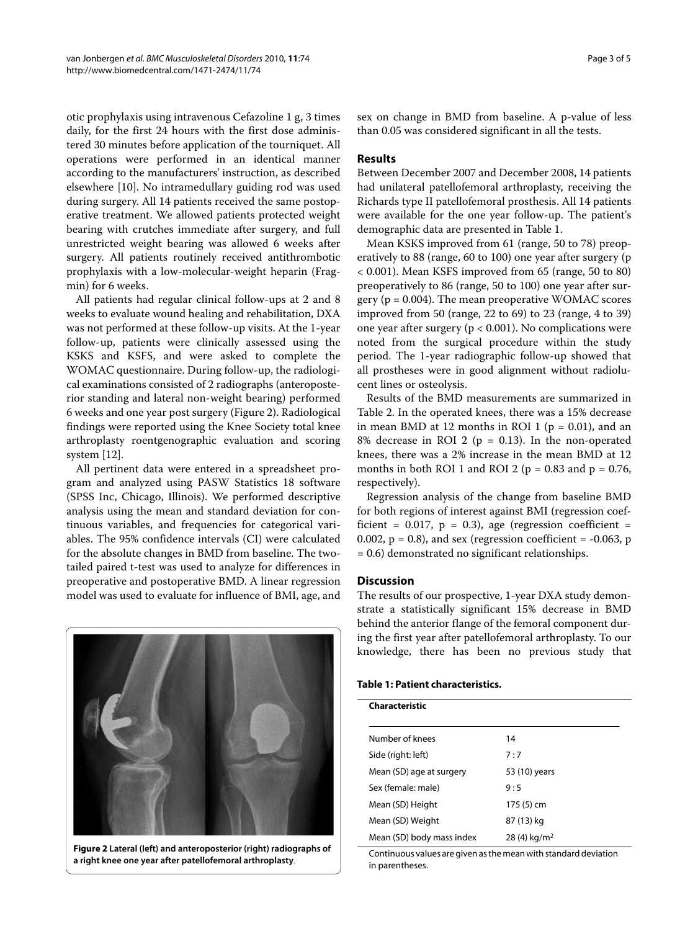otic prophylaxis using intravenous Cefazoline 1 g, 3 times daily, for the first 24 hours with the first dose administered 30 minutes before application of the tourniquet. All operations were performed in an identical manner according to the manufacturers' instruction, as described elsewhere [\[10](#page-4-4)]. No intramedullary guiding rod was used during surgery. All 14 patients received the same postoperative treatment. We allowed patients protected weight bearing with crutches immediate after surgery, and full unrestricted weight bearing was allowed 6 weeks after surgery. All patients routinely received antithrombotic prophylaxis with a low-molecular-weight heparin (Fragmin) for 6 weeks.

All patients had regular clinical follow-ups at 2 and 8 weeks to evaluate wound healing and rehabilitation, DXA was not performed at these follow-up visits. At the 1-year follow-up, patients were clinically assessed using the KSKS and KSFS, and were asked to complete the WOMAC questionnaire. During follow-up, the radiological examinations consisted of 2 radiographs (anteroposterior standing and lateral non-weight bearing) performed 6 weeks and one year post surgery (Figure [2\)](#page-2-0). Radiological findings were reported using the Knee Society total knee arthroplasty roentgenographic evaluation and scoring system [\[12](#page-4-6)].

All pertinent data were entered in a spreadsheet program and analyzed using PASW Statistics 18 software (SPSS Inc, Chicago, Illinois). We performed descriptive analysis using the mean and standard deviation for continuous variables, and frequencies for categorical variables. The 95% confidence intervals (CI) were calculated for the absolute changes in BMD from baseline. The twotailed paired t-test was used to analyze for differences in preoperative and postoperative BMD. A linear regression model was used to evaluate for influence of BMI, age, and

<span id="page-2-0"></span>

**Figure 2 Lateral (left) and anteroposterior (right) radiographs of a right knee one year after patellofemoral arthroplasty**.

sex on change in BMD from baseline. A p-value of less than 0.05 was considered significant in all the tests.

## **Results**

Between December 2007 and December 2008, 14 patients had unilateral patellofemoral arthroplasty, receiving the Richards type II patellofemoral prosthesis. All 14 patients were available for the one year follow-up. The patient's demographic data are presented in Table 1.

Mean KSKS improved from 61 (range, 50 to 78) preoperatively to 88 (range, 60 to 100) one year after surgery (p < 0.001). Mean KSFS improved from 65 (range, 50 to 80) preoperatively to 86 (range, 50 to 100) one year after surgery ( $p = 0.004$ ). The mean preoperative WOMAC scores improved from 50 (range, 22 to 69) to 23 (range, 4 to 39) one year after surgery ( $p < 0.001$ ). No complications were noted from the surgical procedure within the study period. The 1-year radiographic follow-up showed that all prostheses were in good alignment without radiolucent lines or osteolysis.

Results of the BMD measurements are summarized in Table 2. In the operated knees, there was a 15% decrease in mean BMD at 12 months in ROI 1 ( $p = 0.01$ ), and an 8% decrease in ROI 2 ( $p = 0.13$ ). In the non-operated knees, there was a 2% increase in the mean BMD at 12 months in both ROI 1 and ROI 2 ( $p = 0.83$  and  $p = 0.76$ , respectively).

Regression analysis of the change from baseline BMD for both regions of interest against BMI (regression coefficient =  $0.017$ , p = 0.3), age (regression coefficient = 0.002,  $p = 0.8$ ), and sex (regression coefficient =  $-0.063$ , p = 0.6) demonstrated no significant relationships.

## **Discussion**

The results of our prospective, 1-year DXA study demonstrate a statistically significant 15% decrease in BMD behind the anterior flange of the femoral component during the first year after patellofemoral arthroplasty. To our knowledge, there has been no previous study that

|  |  |  |  | <b>Table 1: Patient characteristics.</b> |
|--|--|--|--|------------------------------------------|
|--|--|--|--|------------------------------------------|

| Characteristic            |                           |
|---------------------------|---------------------------|
| Number of knees           | 14                        |
| Side (right: left)        | 7:7                       |
| Mean (SD) age at surgery  | 53 (10) years             |
| Sex (female: male)        | 9:5                       |
| Mean (SD) Height          | 175 (5) cm                |
| Mean (SD) Weight          | 87 (13) kg                |
| Mean (SD) body mass index | $28(4)$ kg/m <sup>2</sup> |

Continuous values are given as the mean with standard deviation in parentheses.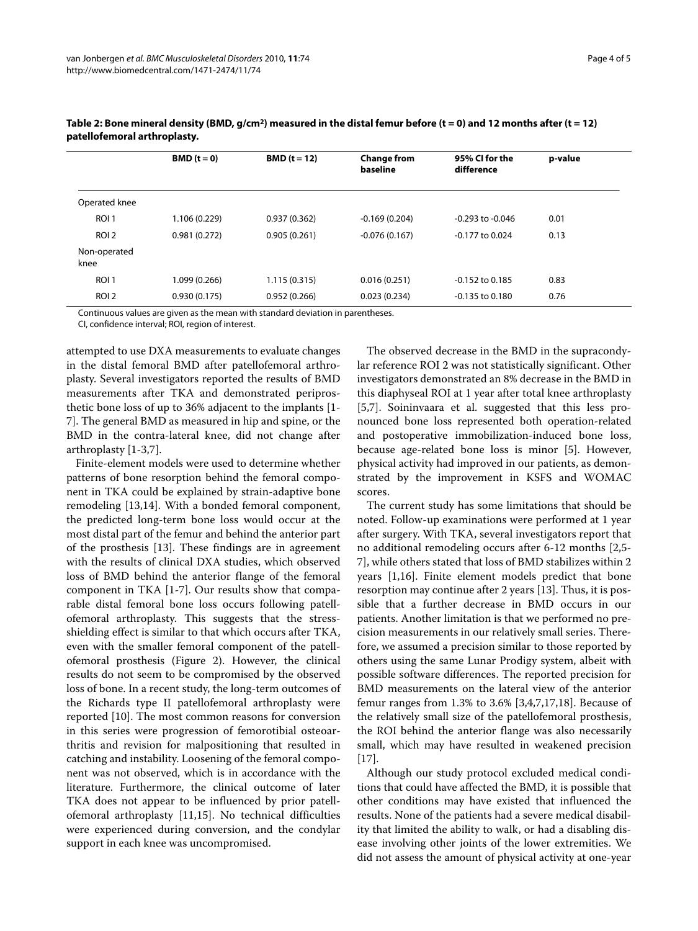|                      | $BMD(t=0)$    | $BMD(t=12)$  | <b>Change from</b><br>baseline | 95% CI for the<br>difference | p-value |  |
|----------------------|---------------|--------------|--------------------------------|------------------------------|---------|--|
| Operated knee        |               |              |                                |                              |         |  |
| ROI 1                | 1.106 (0.229) | 0.937(0.362) | $-0.169(0.204)$                | $-0.293$ to $-0.046$         | 0.01    |  |
| ROI <sub>2</sub>     | 0.981(0.272)  | 0.905(0.261) | $-0.076(0.167)$                | $-0.177$ to 0.024            | 0.13    |  |
| Non-operated<br>knee |               |              |                                |                              |         |  |
| ROI <sub>1</sub>     | 1.099 (0.266) | 1.115(0.315) | 0.016(0.251)                   | $-0.152$ to 0.185            | 0.83    |  |
| ROI <sub>2</sub>     | 0.930(0.175)  | 0.952(0.266) | 0.023(0.234)                   | $-0.135$ to $0.180$          | 0.76    |  |

| Table 2: Bone mineral density (BMD, $g/cm^2$ ) measured in the distal femur before (t = 0) and 12 months after (t = 12) |
|-------------------------------------------------------------------------------------------------------------------------|
| patellofemoral arthroplasty.                                                                                            |

Continuous values are given as the mean with standard deviation in parentheses.

CI, confidence interval; ROI, region of interest.

attempted to use DXA measurements to evaluate changes in the distal femoral BMD after patellofemoral arthroplasty. Several investigators reported the results of BMD measurements after TKA and demonstrated periprosthetic bone loss of up to 36% adjacent to the implants [[1-](#page-4-0) [7\]](#page-4-1). The general BMD as measured in hip and spine, or the BMD in the contra-lateral knee, did not change after arthroplasty [[1](#page-4-0)[-3](#page-4-7),[7](#page-4-1)].

Finite-element models were used to determine whether patterns of bone resorption behind the femoral component in TKA could be explained by strain-adaptive bone remodeling [[13,](#page-4-8)[14\]](#page-4-9). With a bonded femoral component, the predicted long-term bone loss would occur at the most distal part of the femur and behind the anterior part of the prosthesis [\[13\]](#page-4-8). These findings are in agreement with the results of clinical DXA studies, which observed loss of BMD behind the anterior flange of the femoral component in TKA [\[1](#page-4-0)-[7\]](#page-4-1). Our results show that comparable distal femoral bone loss occurs following patellofemoral arthroplasty. This suggests that the stressshielding effect is similar to that which occurs after TKA, even with the smaller femoral component of the patellofemoral prosthesis (Figure [2\)](#page-2-0). However, the clinical results do not seem to be compromised by the observed loss of bone. In a recent study, the long-term outcomes of the Richards type II patellofemoral arthroplasty were reported [\[10](#page-4-4)]. The most common reasons for conversion in this series were progression of femorotibial osteoarthritis and revision for malpositioning that resulted in catching and instability. Loosening of the femoral component was not observed, which is in accordance with the literature. Furthermore, the clinical outcome of later TKA does not appear to be influenced by prior patellofemoral arthroplasty [[11,](#page-4-5)[15\]](#page-4-10). No technical difficulties were experienced during conversion, and the condylar support in each knee was uncompromised.

The observed decrease in the BMD in the supracondylar reference ROI 2 was not statistically significant. Other investigators demonstrated an 8% decrease in the BMD in this diaphyseal ROI at 1 year after total knee arthroplasty [[5,](#page-4-11)[7\]](#page-4-1). Soininvaara et al. suggested that this less pronounced bone loss represented both operation-related and postoperative immobilization-induced bone loss, because age-related bone loss is minor [\[5](#page-4-11)]. However, physical activity had improved in our patients, as demonstrated by the improvement in KSFS and WOMAC scores.

The current study has some limitations that should be noted. Follow-up examinations were performed at 1 year after surgery. With TKA, several investigators report that no additional remodeling occurs after 6-12 months [[2,](#page-4-12)[5-](#page-4-11) [7\]](#page-4-1), while others stated that loss of BMD stabilizes within 2 years [\[1](#page-4-0)[,16](#page-4-13)]. Finite element models predict that bone resorption may continue after 2 years [\[13\]](#page-4-8). Thus, it is possible that a further decrease in BMD occurs in our patients. Another limitation is that we performed no precision measurements in our relatively small series. Therefore, we assumed a precision similar to those reported by others using the same Lunar Prodigy system, albeit with possible software differences. The reported precision for BMD measurements on the lateral view of the anterior femur ranges from 1.3% to 3.6% [[3,](#page-4-7)[4,](#page-4-14)[7](#page-4-1)[,17](#page-4-15)[,18](#page-4-16)]. Because of the relatively small size of the patellofemoral prosthesis, the ROI behind the anterior flange was also necessarily small, which may have resulted in weakened precision [[17\]](#page-4-15).

Although our study protocol excluded medical conditions that could have affected the BMD, it is possible that other conditions may have existed that influenced the results. None of the patients had a severe medical disability that limited the ability to walk, or had a disabling disease involving other joints of the lower extremities. We did not assess the amount of physical activity at one-year